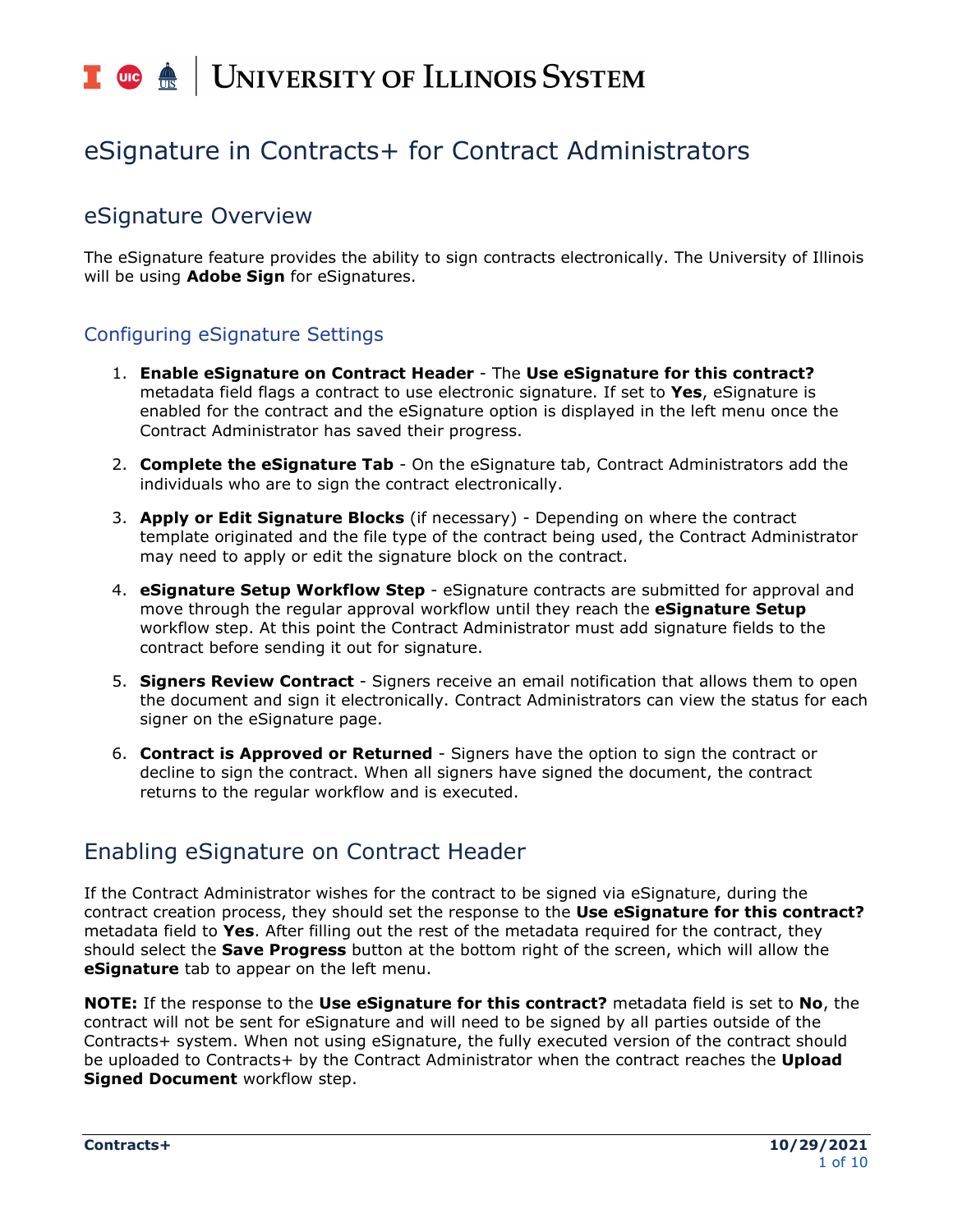# T uie <u>é</u> UNIVERSITY OF ILLINOIS SYSTEM

# eSignature in Contracts+ for Contract Administrators

# eSignature Overview

The eSignature feature provides the ability to sign contracts electronically. The University of Illinois will be using **Adobe Sign** for eSignatures.

# Configuring eSignature Settings

- 1. **Enable eSignature on Contract Header** The **Use eSignature for this contract?**  metadata field flags a contract to use electronic signature. If set to **Yes**, eSignature is enabled for the contract and the eSignature option is displayed in the left menu once the Contract Administrator has saved their progress.
- 2. **Complete the eSignature Tab** On the eSignature tab, Contract Administrators add the individuals who are to sign the contract electronically.
- 3. **Apply or Edit Signature Blocks** (if necessary) Depending on where the contract template originated and the file type of the contract being used, the Contract Administrator may need to apply or edit the signature block on the contract.
- 4. **eSignature Setup Workflow Step** eSignature contracts are submitted for approval and move through the regular approval workflow until they reach the **eSignature Setup** workflow step. At this point the Contract Administrator must add signature fields to the contract before sending it out for signature.
- 5. **Signers Review Contract** Signers receive an email notification that allows them to open the document and sign it electronically. Contract Administrators can view the status for each signer on the eSignature page.
- 6. **Contract is Approved or Returned** Signers have the option to sign the contract or decline to sign the contract. When all signers have signed the document, the contract returns to the regular workflow and is executed.

# Enabling eSignature on Contract Header

If the Contract Administrator wishes for the contract to be signed via eSignature, during the contract creation process, they should set the response to the **Use eSignature for this contract?** metadata field to **Yes**. After filling out the rest of the metadata required for the contract, they should select the **Save Progress** button at the bottom right of the screen, which will allow the **eSignature** tab to appear on the left menu.

**NOTE:** If the response to the **Use eSignature for this contract?** metadata field is set to **No**, the contract will not be sent for eSignature and will need to be signed by all parties outside of the Contracts+ system. When not using eSignature, the fully executed version of the contract should be uploaded to Contracts+ by the Contract Administrator when the contract reaches the **Upload Signed Document** workflow step.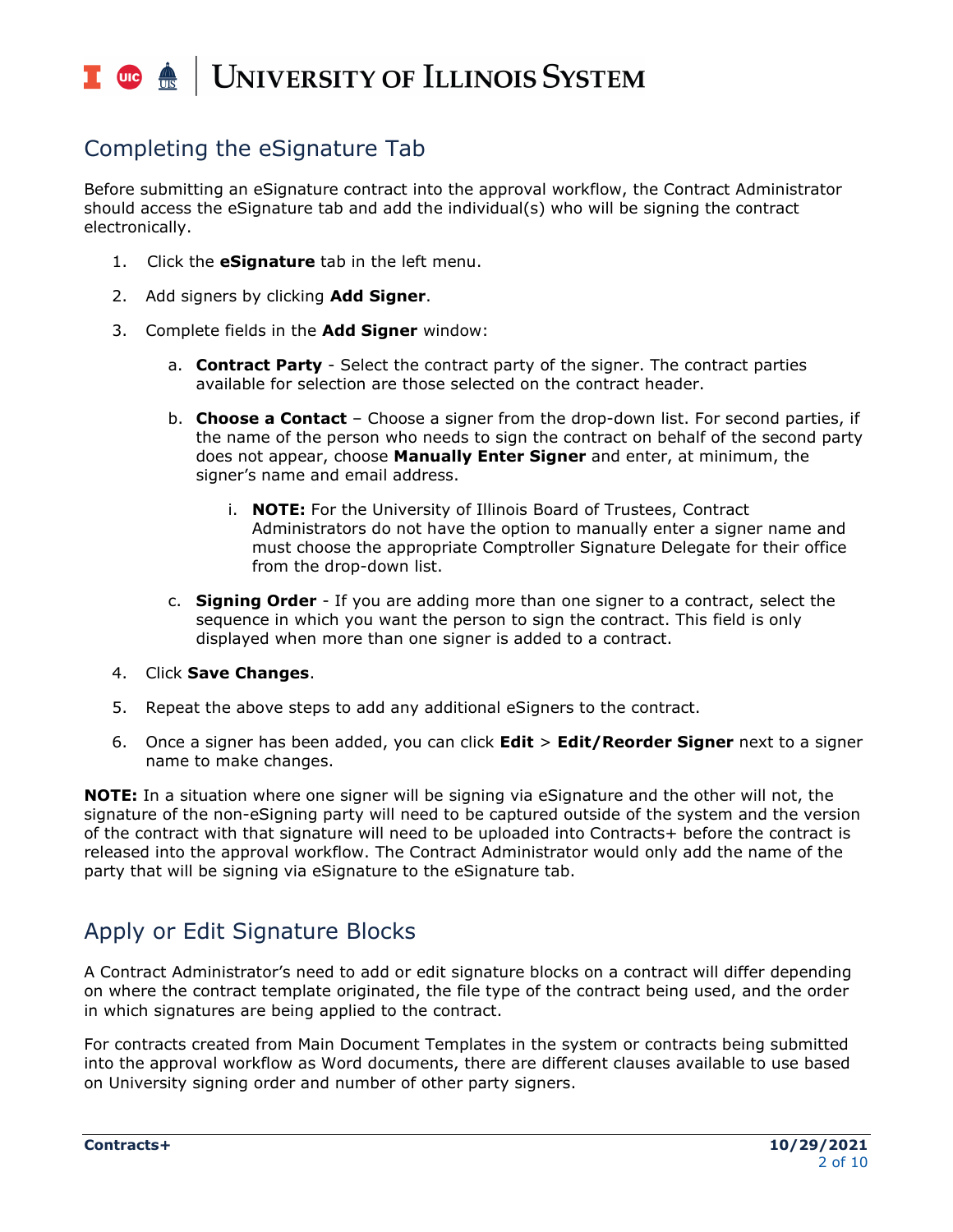## T uie <u>on</u> | UNIVERSITY OF ILLINOIS SYSTEM

# Completing the eSignature Tab

Before submitting an eSignature contract into the approval workflow, the Contract Administrator should access the eSignature tab and add the individual(s) who will be signing the contract electronically.

- 1. Click the **eSignature** tab in the left menu.
- 2. Add signers by clicking **Add Signer**.
- 3. Complete fields in the **Add Signer** window:
	- a. **Contract Party** Select the contract party of the signer. The contract parties available for selection are those selected on the contract header.
	- b. **Choose a Contact** Choose a signer from the drop-down list. For second parties, if the name of the person who needs to sign the contract on behalf of the second party does not appear, choose **Manually Enter Signer** and enter, at minimum, the signer's name and email address.
		- i. **NOTE:** For the University of Illinois Board of Trustees, Contract Administrators do not have the option to manually enter a signer name and must choose the appropriate Comptroller Signature Delegate for their office from the drop-down list.
	- c. **Signing Order** If you are adding more than one signer to a contract, select the sequence in which you want the person to sign the contract. This field is only displayed when more than one signer is added to a contract.
- 4. Click **Save Changes**.
- 5. Repeat the above steps to add any additional eSigners to the contract.
- 6. Once a signer has been added, you can click **Edit** > **Edit/Reorder Signer** next to a signer name to make changes.

**NOTE:** In a situation where one signer will be signing via eSignature and the other will not, the signature of the non-eSigning party will need to be captured outside of the system and the version of the contract with that signature will need to be uploaded into Contracts+ before the contract is released into the approval workflow. The Contract Administrator would only add the name of the party that will be signing via eSignature to the eSignature tab.

# Apply or Edit Signature Blocks

A Contract Administrator's need to add or edit signature blocks on a contract will differ depending on where the contract template originated, the file type of the contract being used, and the order in which signatures are being applied to the contract.

For contracts created from Main Document Templates in the system or contracts being submitted into the approval workflow as Word documents, there are different clauses available to use based on University signing order and number of other party signers.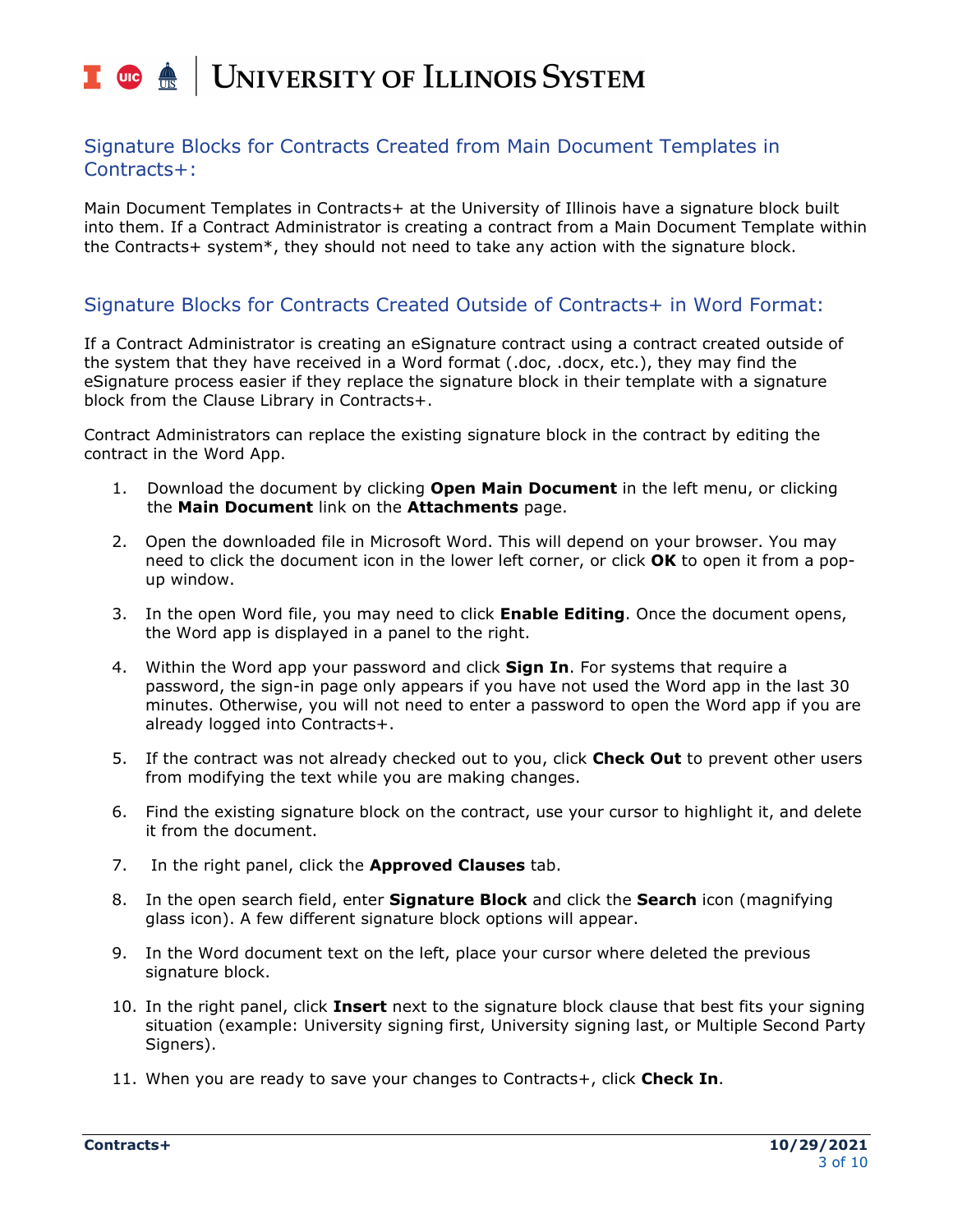## I die <u>ée</u> | UNIVERSITY OF ILLINOIS SYSTEM

#### Signature Blocks for Contracts Created from Main Document Templates in Contracts+:

Main Document Templates in Contracts+ at the University of Illinois have a signature block built into them. If a Contract Administrator is creating a contract from a Main Document Template within the Contracts+ system\*, they should not need to take any action with the signature block.

### Signature Blocks for Contracts Created Outside of Contracts+ in Word Format:

If a Contract Administrator is creating an eSignature contract using a contract created outside of the system that they have received in a Word format (.doc, .docx, etc.), they may find the eSignature process easier if they replace the signature block in their template with a signature block from the Clause Library in Contracts+.

Contract Administrators can replace the existing signature block in the contract by editing the contract in the Word App.

- 1. Download the document by clicking **Open Main Document** in the left menu, or clicking the **Main Document** link on the **Attachments** page.
- 2. Open the downloaded file in Microsoft Word. This will depend on your browser. You may need to click the document icon in the lower left corner, or click **OK** to open it from a popup window.
- 3. In the open Word file, you may need to click **Enable Editing**. Once the document opens, the Word app is displayed in a panel to the right.
- 4. Within the Word app your password and click **Sign In**. For systems that require a password, the sign-in page only appears if you have not used the Word app in the last 30 minutes. Otherwise, you will not need to enter a password to open the Word app if you are already logged into Contracts+.
- 5. If the contract was not already checked out to you, click **Check Out** to prevent other users from modifying the text while you are making changes.
- 6. Find the existing signature block on the contract, use your cursor to highlight it, and delete it from the document.
- 7. In the right panel, click the **Approved Clauses** tab.
- 8. In the open search field, enter **Signature Block** and click the **Search** icon (magnifying glass icon). A few different signature block options will appear.
- 9. In the Word document text on the left, place your cursor where deleted the previous signature block.
- 10. In the right panel, click **Insert** next to the signature block clause that best fits your signing situation (example: University signing first, University signing last, or Multiple Second Party Signers).
- 11. When you are ready to save your changes to Contracts+, click **Check In**.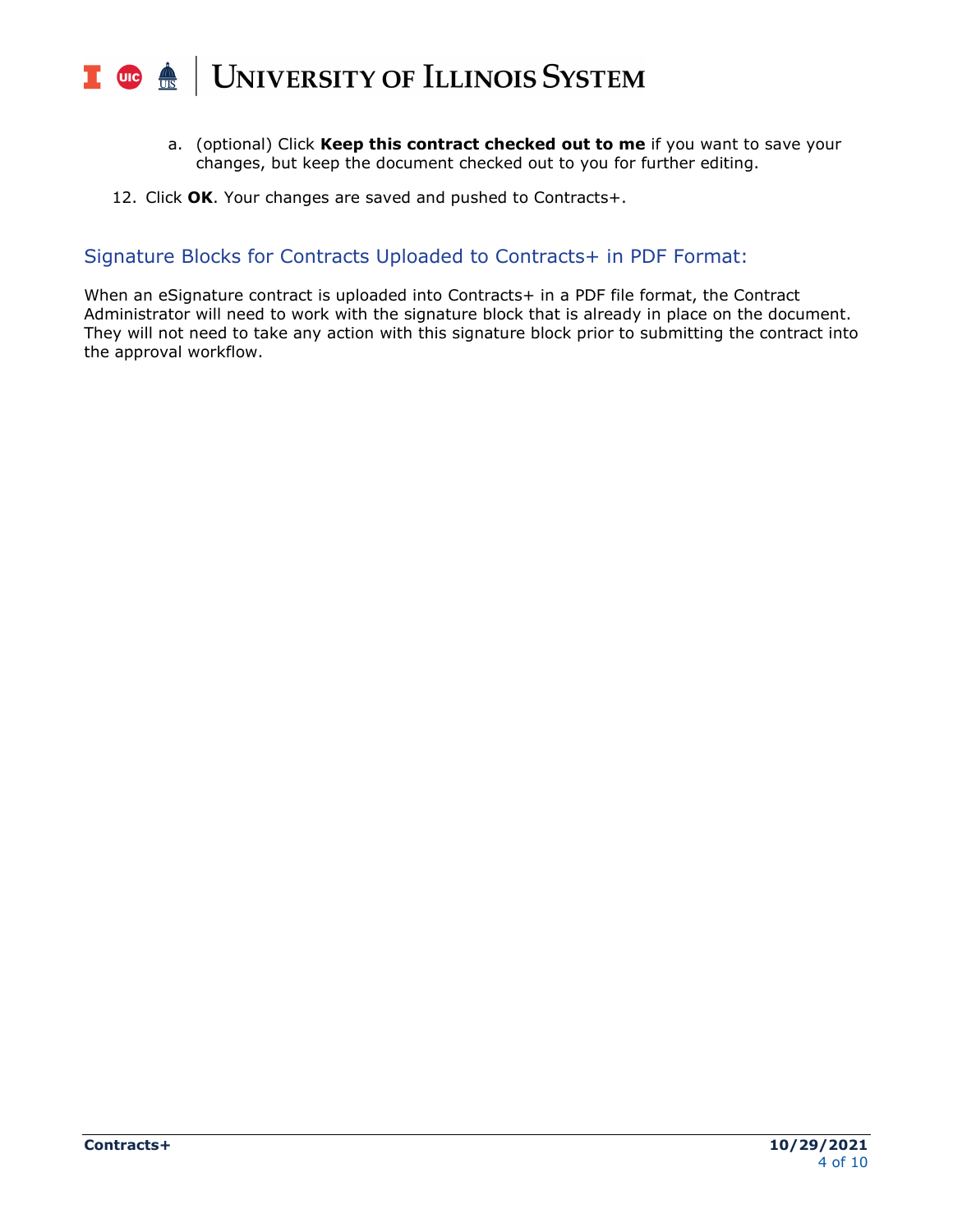#### UNIVERSITY OF ILLINOIS SYSTEM T one

- a. (optional) Click **Keep this contract checked out to me** if you want to save your changes, but keep the document checked out to you for further editing.
- 12. Click **OK**. Your changes are saved and pushed to Contracts+.

## Signature Blocks for Contracts Uploaded to Contracts+ in PDF Format:

When an eSignature contract is uploaded into Contracts+ in a PDF file format, the Contract Administrator will need to work with the signature block that is already in place on the document. They will not need to take any action with this signature block prior to submitting the contract into the approval workflow.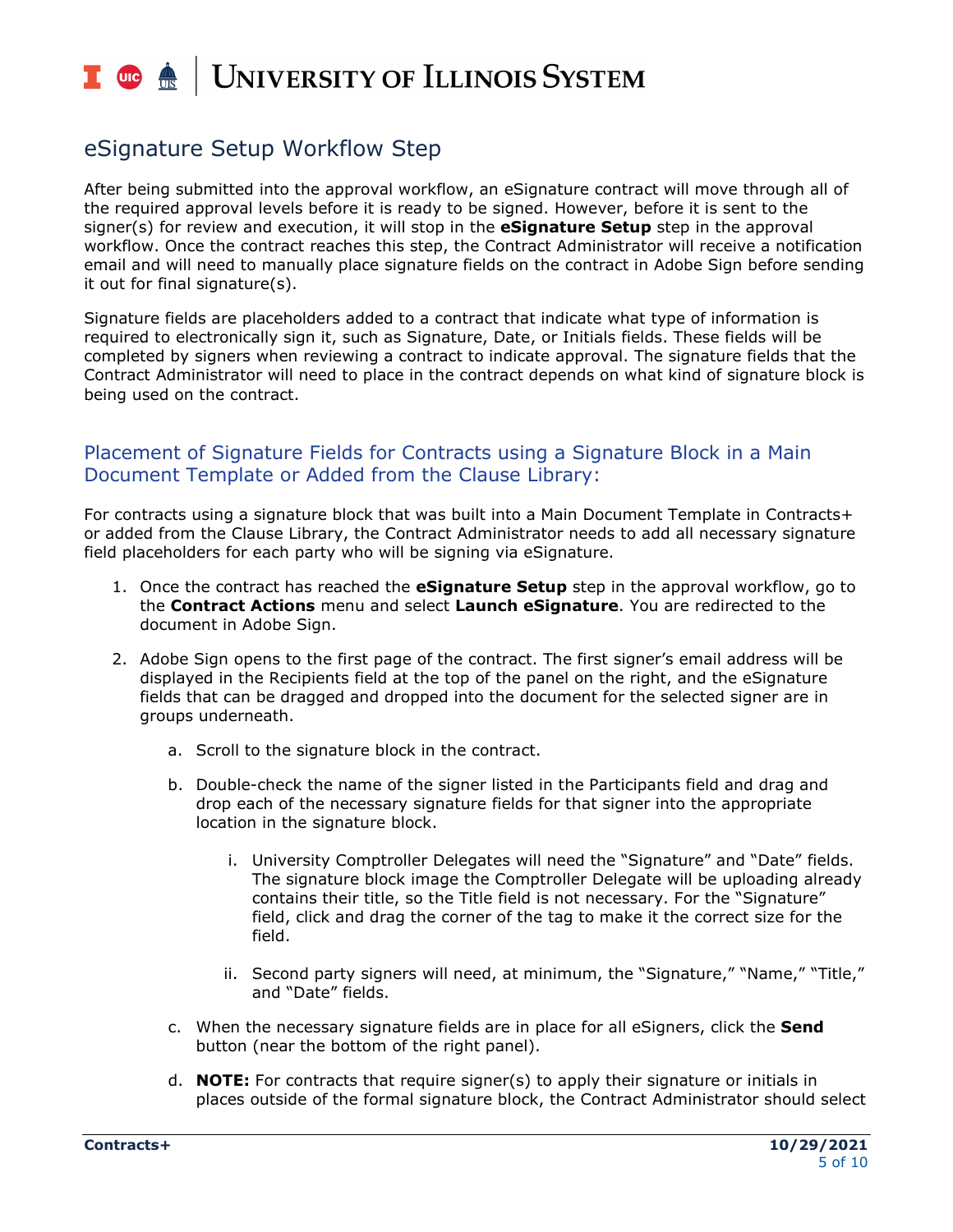## T due de **UNIVERSITY OF ILLINOIS SYSTEM**

# eSignature Setup Workflow Step

After being submitted into the approval workflow, an eSignature contract will move through all of the required approval levels before it is ready to be signed. However, before it is sent to the signer(s) for review and execution, it will stop in the **eSignature Setup** step in the approval workflow. Once the contract reaches this step, the Contract Administrator will receive a notification email and will need to manually place signature fields on the contract in Adobe Sign before sending it out for final signature(s).

Signature fields are placeholders added to a contract that indicate what type of information is required to electronically sign it, such as Signature, Date, or Initials fields. These fields will be completed by signers when reviewing a contract to indicate approval. The signature fields that the Contract Administrator will need to place in the contract depends on what kind of signature block is being used on the contract.

#### Placement of Signature Fields for Contracts using a Signature Block in a Main Document Template or Added from the Clause Library:

For contracts using a signature block that was built into a Main Document Template in Contracts+ or added from the Clause Library, the Contract Administrator needs to add all necessary signature field placeholders for each party who will be signing via eSignature.

- 1. Once the contract has reached the **eSignature Setup** step in the approval workflow, go to the **Contract Actions** menu and select **Launch eSignature**. You are redirected to the document in Adobe Sign.
- 2. Adobe Sign opens to the first page of the contract. The first signer's email address will be displayed in the Recipients field at the top of the panel on the right, and the eSignature fields that can be dragged and dropped into the document for the selected signer are in groups underneath.
	- a. Scroll to the signature block in the contract.
	- b. Double-check the name of the signer listed in the Participants field and drag and drop each of the necessary signature fields for that signer into the appropriate location in the signature block.
		- i. University Comptroller Delegates will need the "Signature" and "Date" fields. The signature block image the Comptroller Delegate will be uploading already contains their title, so the Title field is not necessary. For the "Signature" field, click and drag the corner of the tag to make it the correct size for the field.
		- ii. Second party signers will need, at minimum, the "Signature," "Name," "Title," and "Date" fields.
	- c. When the necessary signature fields are in place for all eSigners, click the **Send** button (near the bottom of the right panel).
	- d. **NOTE:** For contracts that require signer(s) to apply their signature or initials in places outside of the formal signature block, the Contract Administrator should select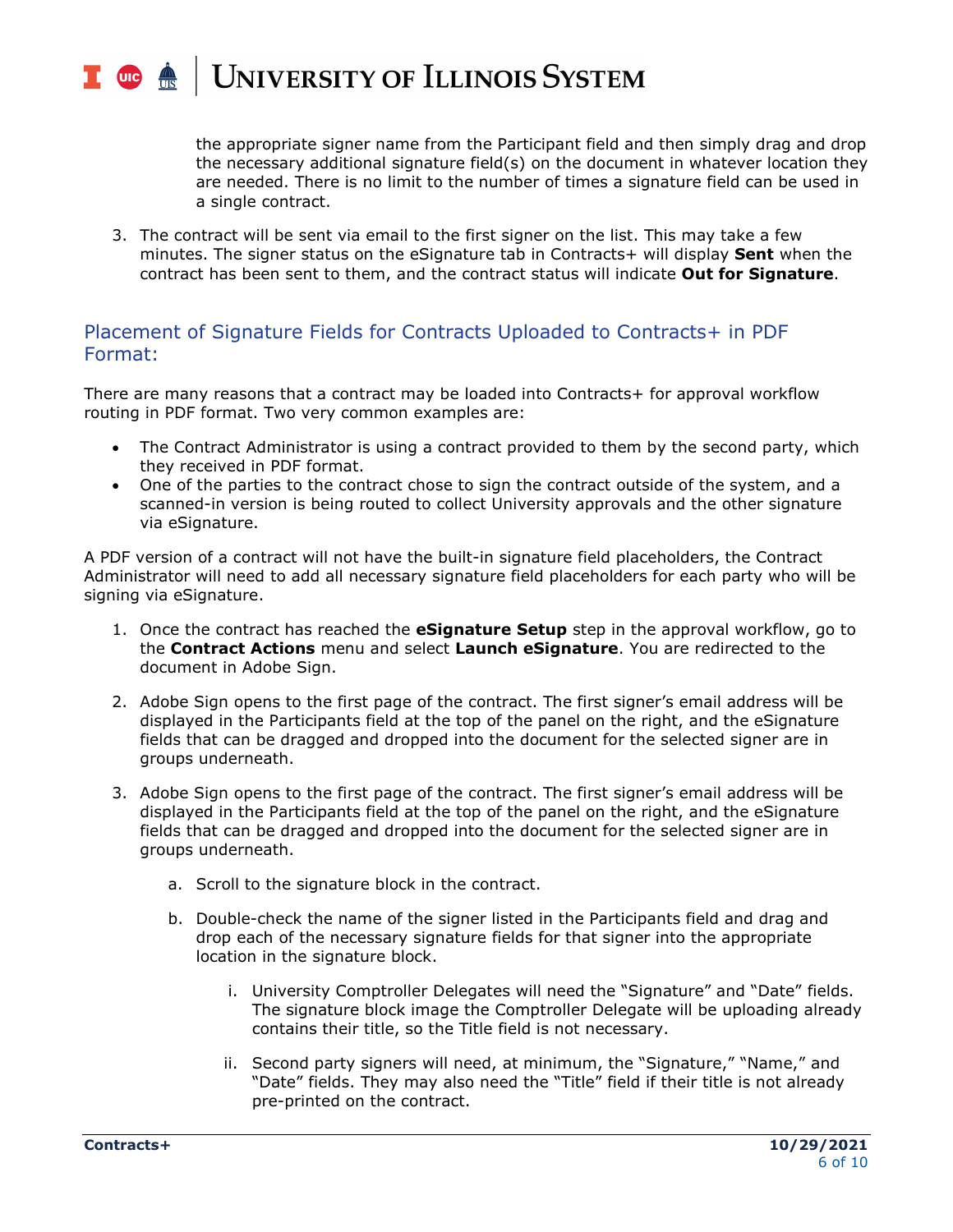#### T due de **UNIVERSITY OF ILLINOIS SYSTEM**

the appropriate signer name from the Participant field and then simply drag and drop the necessary additional signature field(s) on the document in whatever location they are needed. There is no limit to the number of times a signature field can be used in a single contract.

3. The contract will be sent via email to the first signer on the list. This may take a few minutes. The signer status on the eSignature tab in Contracts+ will display **Sent** when the contract has been sent to them, and the contract status will indicate **Out for Signature**.

### Placement of Signature Fields for Contracts Uploaded to Contracts+ in PDF Format:

There are many reasons that a contract may be loaded into Contracts+ for approval workflow routing in PDF format. Two very common examples are:

- The Contract Administrator is using a contract provided to them by the second party, which they received in PDF format.
- One of the parties to the contract chose to sign the contract outside of the system, and a scanned-in version is being routed to collect University approvals and the other signature via eSignature.

A PDF version of a contract will not have the built-in signature field placeholders, the Contract Administrator will need to add all necessary signature field placeholders for each party who will be signing via eSignature.

- 1. Once the contract has reached the **eSignature Setup** step in the approval workflow, go to the **Contract Actions** menu and select **Launch eSignature**. You are redirected to the document in Adobe Sign.
- 2. Adobe Sign opens to the first page of the contract. The first signer's email address will be displayed in the Participants field at the top of the panel on the right, and the eSignature fields that can be dragged and dropped into the document for the selected signer are in groups underneath.
- 3. Adobe Sign opens to the first page of the contract. The first signer's email address will be displayed in the Participants field at the top of the panel on the right, and the eSignature fields that can be dragged and dropped into the document for the selected signer are in groups underneath.
	- a. Scroll to the signature block in the contract.
	- b. Double-check the name of the signer listed in the Participants field and drag and drop each of the necessary signature fields for that signer into the appropriate location in the signature block.
		- i. University Comptroller Delegates will need the "Signature" and "Date" fields. The signature block image the Comptroller Delegate will be uploading already contains their title, so the Title field is not necessary.
		- ii. Second party signers will need, at minimum, the "Signature," "Name," and "Date" fields. They may also need the "Title" field if their title is not already pre-printed on the contract.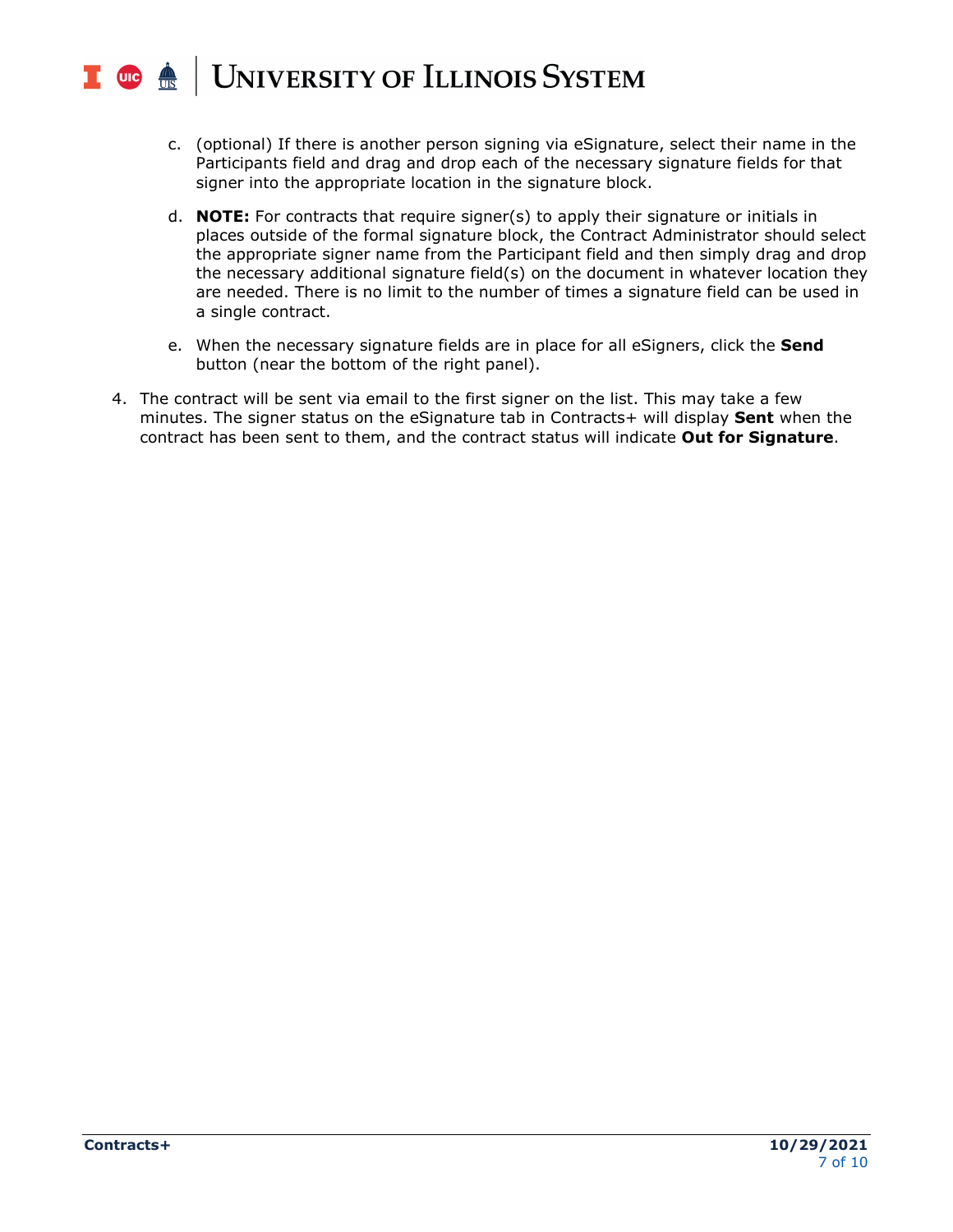#### UNIVERSITY OF ILLINOIS SYSTEM T due

- c. (optional) If there is another person signing via eSignature, select their name in the Participants field and drag and drop each of the necessary signature fields for that signer into the appropriate location in the signature block.
- d. **NOTE:** For contracts that require signer(s) to apply their signature or initials in places outside of the formal signature block, the Contract Administrator should select the appropriate signer name from the Participant field and then simply drag and drop the necessary additional signature field(s) on the document in whatever location they are needed. There is no limit to the number of times a signature field can be used in a single contract.
- e. When the necessary signature fields are in place for all eSigners, click the **Send** button (near the bottom of the right panel).
- 4. The contract will be sent via email to the first signer on the list. This may take a few minutes. The signer status on the eSignature tab in Contracts+ will display **Sent** when the contract has been sent to them, and the contract status will indicate **Out for Signature**.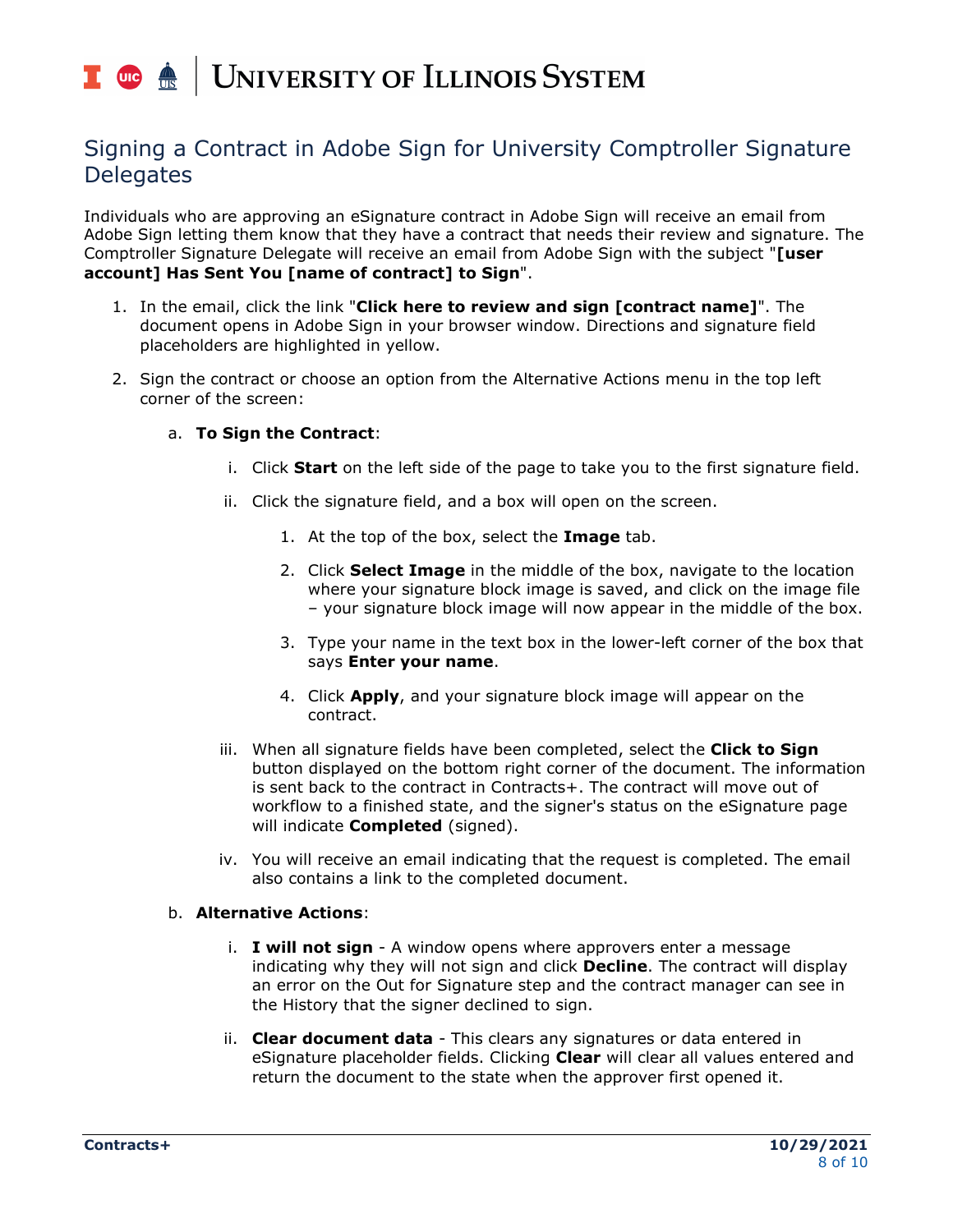# T uie <u>é</u> UNIVERSITY OF ILLINOIS SYSTEM

# Signing a Contract in Adobe Sign for University Comptroller Signature **Delegates**

Individuals who are approving an eSignature contract in Adobe Sign will receive an email from Adobe Sign letting them know that they have a contract that needs their review and signature. The Comptroller Signature Delegate will receive an email from Adobe Sign with the subject "**[user account] Has Sent You [name of contract] to Sign**".

- 1. In the email, click the link "**Click here to review and sign [contract name]**". The document opens in Adobe Sign in your browser window. Directions and signature field placeholders are highlighted in yellow.
- 2. Sign the contract or choose an option from the Alternative Actions menu in the top left corner of the screen:

#### a. **To Sign the Contract**:

- i. Click **Start** on the left side of the page to take you to the first signature field.
- ii. Click the signature field, and a box will open on the screen.
	- 1. At the top of the box, select the **Image** tab.
	- 2. Click **Select Image** in the middle of the box, navigate to the location where your signature block image is saved, and click on the image file – your signature block image will now appear in the middle of the box.
	- 3. Type your name in the text box in the lower-left corner of the box that says **Enter your name**.
	- 4. Click **Apply**, and your signature block image will appear on the contract.
- iii. When all signature fields have been completed, select the **Click to Sign** button displayed on the bottom right corner of the document. The information is sent back to the contract in Contracts+. The contract will move out of workflow to a finished state, and the signer's status on the eSignature page will indicate **Completed** (signed).
- iv. You will receive an email indicating that the request is completed. The email also contains a link to the completed document.

#### b. **Alternative Actions**:

- i. **I will not sign** A window opens where approvers enter a message indicating why they will not sign and click **Decline**. The contract will display an error on the Out for Signature step and the contract manager can see in the History that the signer declined to sign.
- ii. **Clear document data** This clears any signatures or data entered in eSignature placeholder fields. Clicking **Clear** will clear all values entered and return the document to the state when the approver first opened it.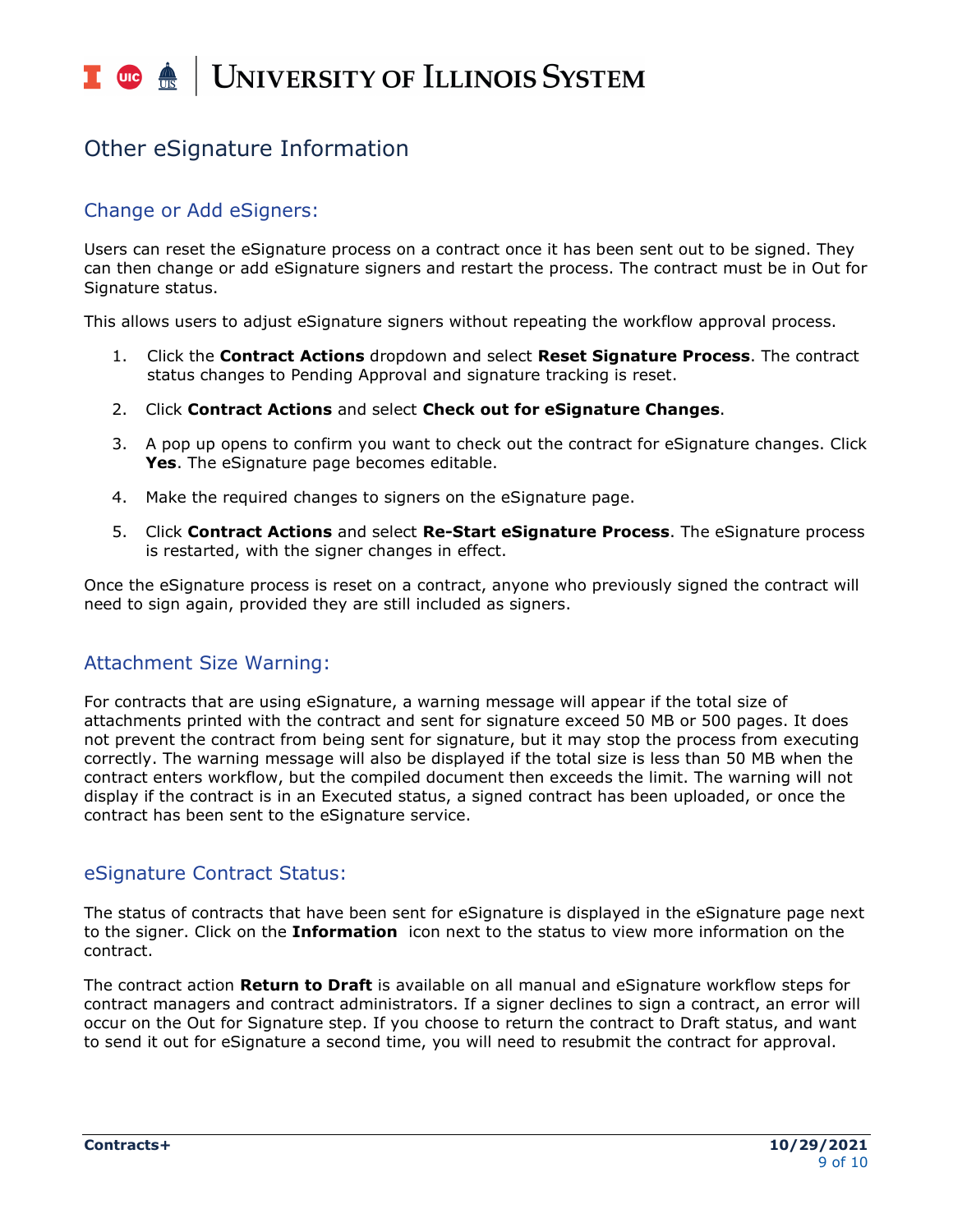### T uie <u>on</u> **UNIVERSITY OF ILLINOIS SYSTEM**

# Other eSignature Information

## Change or Add eSigners:

Users can reset the eSignature process on a contract once it has been sent out to be signed. They can then change or add eSignature signers and restart the process. The contract must be in Out for Signature status.

This allows users to adjust eSignature signers without repeating the workflow approval process.

- 1. Click the **Contract Actions** dropdown and select **Reset Signature Process**. The contract status changes to Pending Approval and signature tracking is reset.
- 2. Click **Contract Actions** and select **Check out for eSignature Changes**.
- 3. A pop up opens to confirm you want to check out the contract for eSignature changes. Click **Yes**. The eSignature page becomes editable.
- 4. Make the required changes to signers on the eSignature page.
- 5. Click **Contract Actions** and select **Re-Start eSignature Process**. The eSignature process is restarted, with the signer changes in effect.

Once the eSignature process is reset on a contract, anyone who previously signed the contract will need to sign again, provided they are still included as signers.

## Attachment Size Warning:

For contracts that are using eSignature, a warning message will appear if the total size of attachments printed with the contract and sent for signature exceed 50 MB or 500 pages. It does not prevent the contract from being sent for signature, but it may stop the process from executing correctly. The warning message will also be displayed if the total size is less than 50 MB when the contract enters workflow, but the compiled document then exceeds the limit. The warning will not display if the contract is in an Executed status, a signed contract has been uploaded, or once the contract has been sent to the eSignature service.

## eSignature Contract Status:

The status of contracts that have been sent for eSignature is displayed in the eSignature page next to the signer. Click on the **Information** icon next to the status to view more information on the contract.

The contract action **Return to Draft** is available on all manual and eSignature workflow steps for contract managers and contract administrators. If a signer declines to sign a contract, an error will occur on the Out for Signature step. If you choose to return the contract to Draft status, and want to send it out for eSignature a second time, you will need to resubmit the contract for approval.